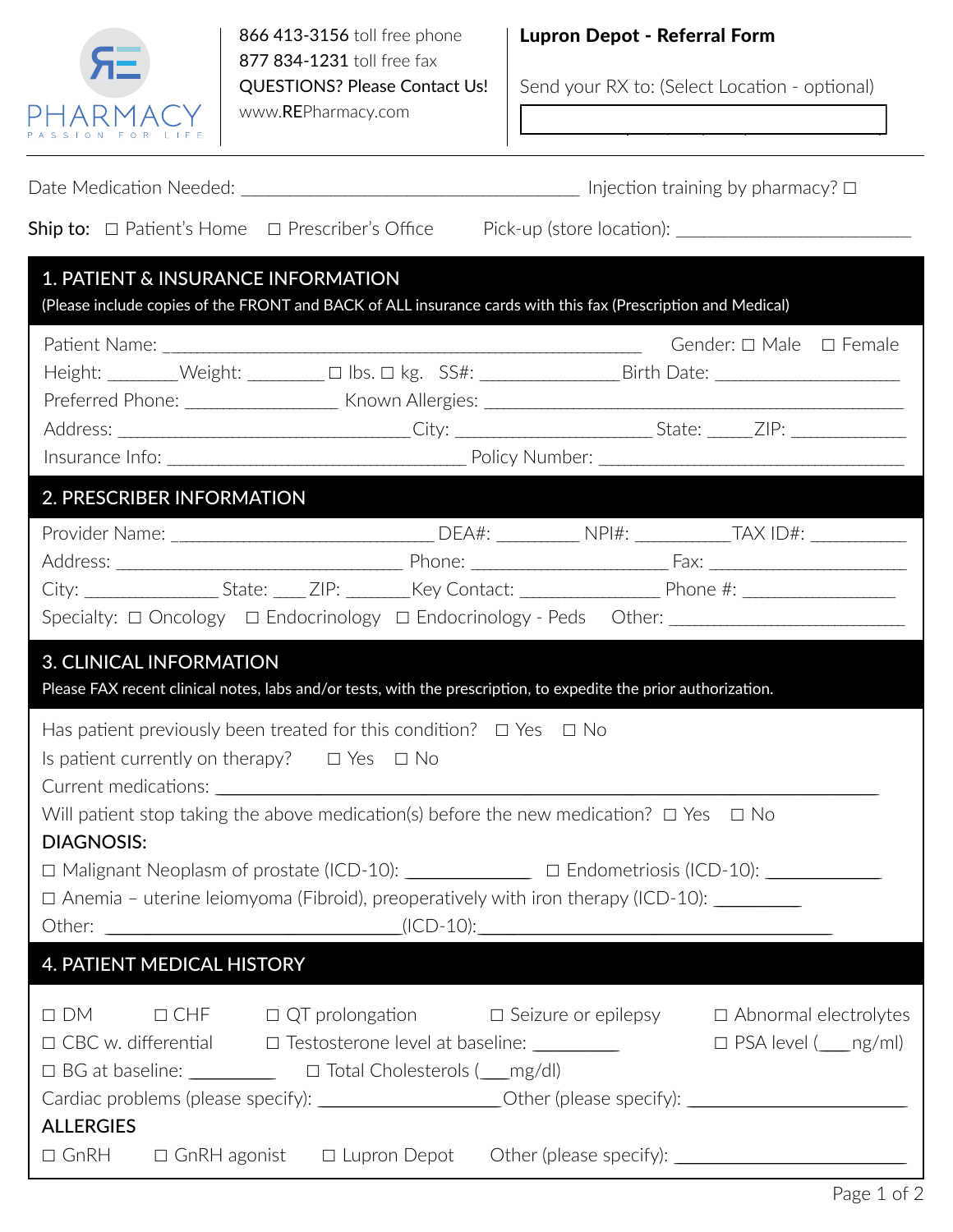

866 413-3156 toll free phone 877 834-1231 toll free fax QUESTIONS? Please Contact Us! www.REPharmacy.com

## Lupron Depot - Referral Form

Send your RX to: (Select Location - optional)

**RE Pharmacy / Irvine / 949 393-5780 phone / 949 3935790 fax Palm Desert / 760 340-3248 phone / 760 349-3258 fax**

|                                                                                                                                                                                                                                           | 1. PATIENT & INSURANCE INFORMATION | (Please include copies of the FRONT and BACK of ALL insurance cards with this fax (Prescription and Medical)                                                                                                                                                                                                               |  |  |                                                                                  |  |  |
|-------------------------------------------------------------------------------------------------------------------------------------------------------------------------------------------------------------------------------------------|------------------------------------|----------------------------------------------------------------------------------------------------------------------------------------------------------------------------------------------------------------------------------------------------------------------------------------------------------------------------|--|--|----------------------------------------------------------------------------------|--|--|
|                                                                                                                                                                                                                                           |                                    | Height: ________Weight: _________ □ lbs. □ kg. SS#: ___________________Birth Date: ___________________________                                                                                                                                                                                                             |  |  | Gender: □ Male □ Female                                                          |  |  |
|                                                                                                                                                                                                                                           | 2. PRESCRIBER INFORMATION          |                                                                                                                                                                                                                                                                                                                            |  |  |                                                                                  |  |  |
|                                                                                                                                                                                                                                           |                                    | City: _____________________State: ______ZIP: _________Key Contact: _____________________Phone #: ___________________<br>Specialty: □ Oncology □ Endocrinology □ Endocrinology - Peds Other: _______________________________                                                                                                |  |  |                                                                                  |  |  |
| <b>3. CLINICAL INFORMATION</b><br>Please FAX recent clinical notes, labs and/or tests, with the prescription, to expedite the prior authorization.                                                                                        |                                    |                                                                                                                                                                                                                                                                                                                            |  |  |                                                                                  |  |  |
| Has patient previously been treated for this condition? $\Box$ Yes $\Box$ No<br>Is patient currently on therapy? $\Box$ Yes $\Box$ No<br>Will patient stop taking the above medication(s) before the new medication? $\Box$ Yes $\Box$ No |                                    |                                                                                                                                                                                                                                                                                                                            |  |  |                                                                                  |  |  |
| <b>DIAGNOSIS:</b>                                                                                                                                                                                                                         |                                    | $\Box$ Anemia – uterine leiomyoma (Fibroid), preoperatively with iron therapy (ICD-10): $\_\_$                                                                                                                                                                                                                             |  |  |                                                                                  |  |  |
|                                                                                                                                                                                                                                           | <b>4. PATIENT MEDICAL HISTORY</b>  |                                                                                                                                                                                                                                                                                                                            |  |  |                                                                                  |  |  |
|                                                                                                                                                                                                                                           |                                    | □ DM □ CHF □ QT prolongation □ Seizure or epilepsy □ Abnormal electrolytes<br>□ CBC w. differential □ Testosterone level at baseline: __________<br>□ BG at baseline: <u> □ Total Cholesterols ( mg/dl</u> )<br>Cardiac problems (please specify): _______________________Other (please specify): ________________________ |  |  | $\square$ PSA level ( $\_\_$ ng/ml)                                              |  |  |
| <b>ALLERGIES</b>                                                                                                                                                                                                                          |                                    |                                                                                                                                                                                                                                                                                                                            |  |  | □ GnRH □ GnRH agonist □ Lupron Depot Other (please specify): ___________________ |  |  |